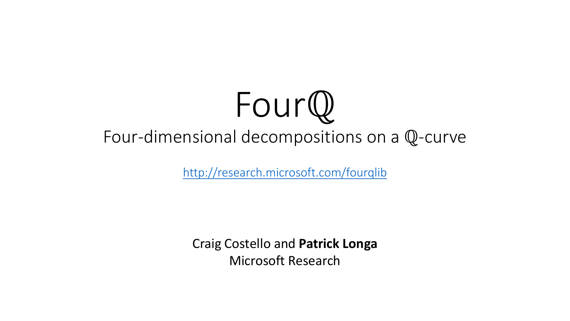# Fourℚ Four-dimensional decompositions on a ℚ-curve

[http://research.microsoft.com/fourqlib](http://www.research.microsoft.com/fourqlib)

Craig Costello and **Patrick Longa** Microsoft Research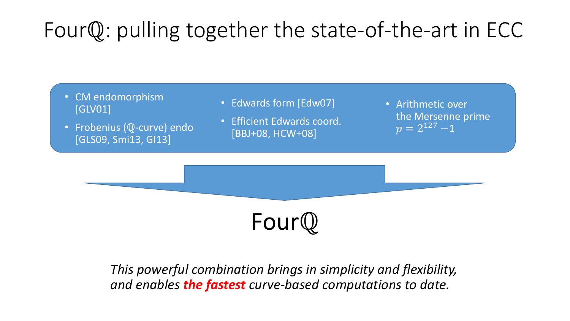## Fourℚ: pulling together the state-of-the-art in ECC

- CM endomorphism [GLV01]
- Frobenius (Q-curve) endo [GLS09, Smi13, GI13]
- Edwards form [Edw07] • Efficient Edwards coord.

[BBJ+08, HCW+08]

• Arithmetic over the Mersenne prime  $p = 2^{127} - 1$ 



*This powerful combination brings in simplicity and flexibility, and enables the fastest curve-based computations to date.*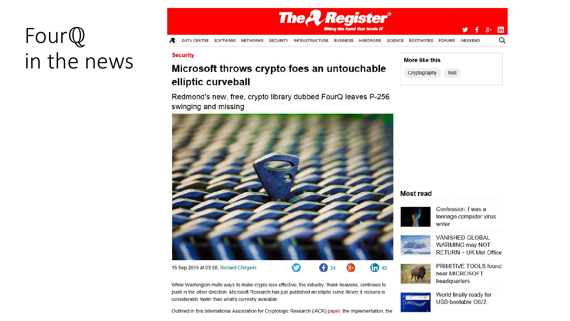## Fourℚ in the news



#### **Security**

#### Microsoft throws crypto foes an untouchable elliptic curveball

| Redmond's new, free, crypto library dubbed FourQ leaves P-256 |  |  |
|---------------------------------------------------------------|--|--|
| swinging and missing                                          |  |  |



#### 15 Sep 2015 at 03:58, Richard Chirgwin



While Washington mulls ways to make crypto less effective, the industry, thank heavens, continues to push in the other direction. Microsoft Research has just published an elliptic curve library it reckons is considerably faster than what's currently available.

Outlined in this International Association for Cryptologic Research (IACR) paper, the implementation, the

| More like this |      |
|----------------|------|
| Cryptography   | Nist |
|                |      |

#### **Most read**



Confession: I was a teenage computer virus writer



VANISHED GLOBAL WARMING may NOT **RETURN - UK Met Office** 



PRIMITIVE TOOLS found near MICROSOFT headquarters



World finally ready for USB-bootable OS/2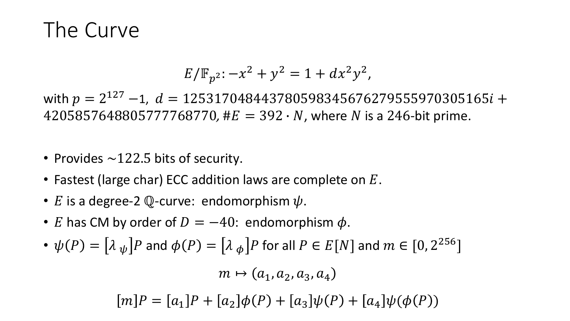### The Curve

$$
E/\mathbb{F}_{p^2} - x^2 + y^2 = 1 + dx^2 y^2,
$$

with  $p=2^{127}$   $-1$ ,  $d=125317048443780598345676279555970305165 $i+1$$ 4205857648805777768770, # $E = 392 \cdot N$ , where N is a 246-bit prime.

- Provides  $\sim$  122.5 bits of security.
- Fastest (large char) ECC addition laws are complete on  $E$ .
- E is a degree-2  $\mathbb Q$ -curve: endomorphism  $\psi$ .
- E has CM by order of  $D = -40$ : endomorphism  $\phi$ .
- $\bullet \,\, \psi(P) = \big[\lambda\,{}_{\psi}\big]P$  and  $\phi(P) = \big[\lambda\,{}_{\phi}\big]P$  for all  $P \in E[N]$  and  $m \in [0,2^{256}]$

 $m \mapsto (a_1, a_2, a_3, a_4)$  $[m]P = [a_1]P + [a_2] \phi(P) + [a_3] \psi(P) + [a_4] \psi(\phi(P))$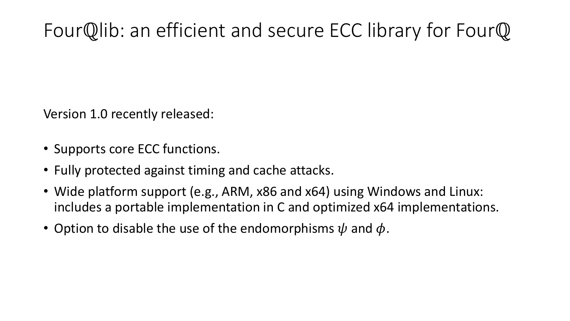### Fourℚlib: an efficient and secure ECC library for Fourℚ

Version 1.0 recently released:

- Supports core ECC functions.
- Fully protected against timing and cache attacks.
- Wide platform support (e.g., ARM, x86 and x64) using Windows and Linux: includes a portable implementation in C and optimized x64 implementations.
- Option to disable the use of the endomorphisms  $\psi$  and  $\phi$ .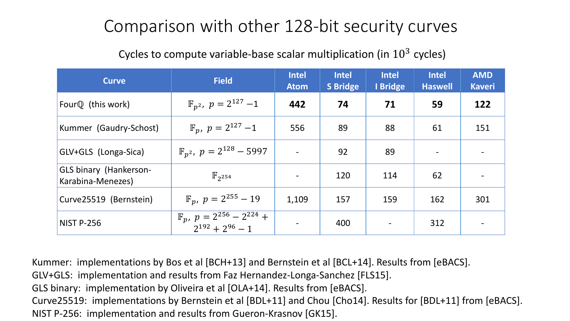#### Comparison with other 128-bit security curves

#### Cycles to compute variable-base scalar multiplication (in  $10^3$  cycles)

| <b>Curve</b>                                       | <b>Field</b>                                                    | <b>Intel</b><br><b>Atom</b> | <b>Intel</b><br><b>S</b> Bridge | <b>Intel</b><br>I Bridge | <b>Intel</b><br><b>Haswell</b> | <b>AMD</b><br><b>Kaveri</b> |
|----------------------------------------------------|-----------------------------------------------------------------|-----------------------------|---------------------------------|--------------------------|--------------------------------|-----------------------------|
| Four $\mathbb Q$ (this work)                       | $\mathbb{F}_{p^2}$ , $p = 2^{127} - 1$                          | 442                         | 74                              | 71                       | 59                             | 122                         |
| Kummer (Gaudry-Schost)                             | $\mathbb{F}_p$ , $p = 2^{127} - 1$                              | 556                         | 89                              | 88                       | 61                             | 151                         |
| GLV+GLS (Longa-Sica)                               | $\mathbb{F}_{p^2}$ , $p = 2^{128} - 5997$                       |                             | 92                              | 89                       |                                |                             |
| <b>GLS binary (Hankerson-</b><br>Karabina-Menezes) | $\mathbb{F}_{2^{254}}$                                          | $\overline{\phantom{a}}$    | 120                             | 114                      | 62                             |                             |
| Curve25519 (Bernstein)                             | $\mathbb{F}_p$ , $p = 2^{255} - 19$                             | 1,109                       | 157                             | 159                      | 162                            | 301                         |
| <b>NIST P-256</b>                                  | $\mathbb{F}_p$ , $p = 2^{256} - 2^{224} + 2^{192} + 2^{96} - 1$ |                             | 400                             |                          | 312                            |                             |

Kummer: implementations by Bos et al [BCH+13] and Bernstein et al [BCL+14]. Results from [eBACS]. GLV+GLS: implementation and results from Faz Hernandez-Longa-Sanchez [FLS15]. GLS binary: implementation by Oliveira et al [OLA+14]. Results from [eBACS]. Curve25519: implementations by Bernstein et al [BDL+11] and Chou [Cho14]. Results for [BDL+11] from [eBACS]. NIST P-256: implementation and results from Gueron-Krasnov [GK15].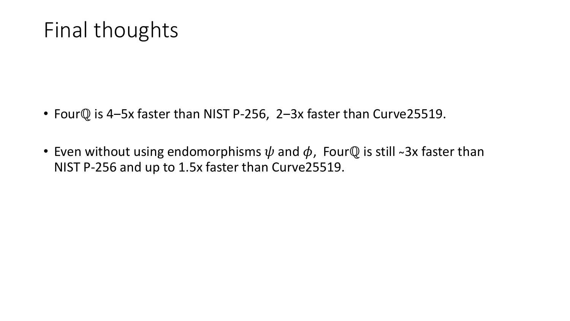### Final thoughts

- Four $\mathbb Q$  is 4-5x faster than NIST P-256, 2-3x faster than Curve25519.
- Even without using endomorphisms  $\psi$  and  $\phi$ , FourQ is still ~3x faster than NIST P-256 and up to 1.5x faster than Curve25519.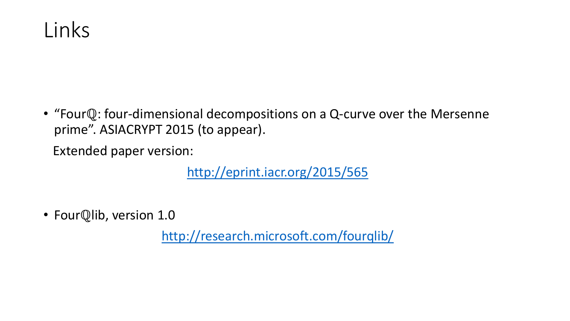

• "Fourℚ: four-dimensional decompositions on a Q-curve over the Mersenne prime". ASIACRYPT 2015 (to appear).

Extended paper version:

<http://eprint.iacr.org/2015/565>

• FourQlib, version 1.0

<http://research.microsoft.com/fourqlib/>